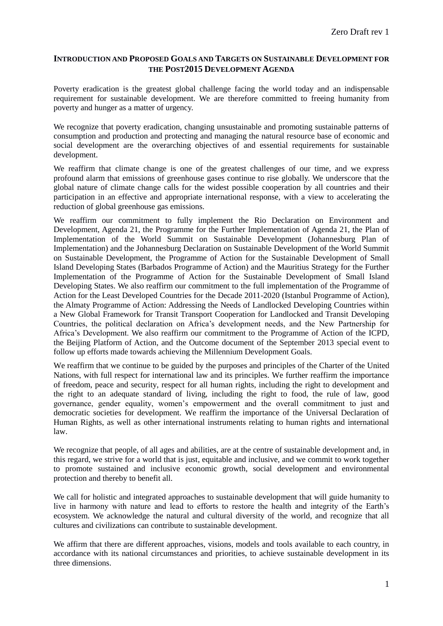#### **INTRODUCTION AND PROPOSED GOALS AND TARGETS ON SUSTAINABLE DEVELOPMENT FOR THE POST2015 DEVELOPMENT AGENDA**

Poverty eradication is the greatest global challenge facing the world today and an indispensable requirement for sustainable development. We are therefore committed to freeing humanity from poverty and hunger as a matter of urgency.

We recognize that poverty eradication, changing unsustainable and promoting sustainable patterns of consumption and production and protecting and managing the natural resource base of economic and social development are the overarching objectives of and essential requirements for sustainable development.

We reaffirm that climate change is one of the greatest challenges of our time, and we express profound alarm that emissions of greenhouse gases continue to rise globally. We underscore that the global nature of climate change calls for the widest possible cooperation by all countries and their participation in an effective and appropriate international response, with a view to accelerating the reduction of global greenhouse gas emissions.

We reaffirm our commitment to fully implement the Rio Declaration on Environment and Development, Agenda 21, the Programme for the Further Implementation of Agenda 21, the Plan of Implementation of the World Summit on Sustainable Development (Johannesburg Plan of Implementation) and the Johannesburg Declaration on Sustainable Development of the World Summit on Sustainable Development, the Programme of Action for the Sustainable Development of Small Island Developing States (Barbados Programme of Action) and the Mauritius Strategy for the Further Implementation of the Programme of Action for the Sustainable Development of Small Island Developing States. We also reaffirm our commitment to the full implementation of the Programme of Action for the Least Developed Countries for the Decade 2011-2020 (Istanbul Programme of Action), the Almaty Programme of Action: Addressing the Needs of Landlocked Developing Countries within a New Global Framework for Transit Transport Cooperation for Landlocked and Transit Developing Countries, the political declaration on Africa's development needs, and the New Partnership for Africa's Development. We also reaffirm our commitment to the Programme of Action of the ICPD, the Beijing Platform of Action, and the Outcome document of the September 2013 special event to follow up efforts made towards achieving the Millennium Development Goals.

We reaffirm that we continue to be guided by the purposes and principles of the Charter of the United Nations, with full respect for international law and its principles. We further reaffirm the importance of freedom, peace and security, respect for all human rights, including the right to development and the right to an adequate standard of living, including the right to food, the rule of law, good governance, gender equality, women's empowerment and the overall commitment to just and democratic societies for development. We reaffirm the importance of the Universal Declaration of Human Rights, as well as other international instruments relating to human rights and international law.

We recognize that people, of all ages and abilities, are at the centre of sustainable development and, in this regard, we strive for a world that is just, equitable and inclusive, and we commit to work together to promote sustained and inclusive economic growth, social development and environmental protection and thereby to benefit all.

We call for holistic and integrated approaches to sustainable development that will guide humanity to live in harmony with nature and lead to efforts to restore the health and integrity of the Earth's ecosystem. We acknowledge the natural and cultural diversity of the world, and recognize that all cultures and civilizations can contribute to sustainable development.

We affirm that there are different approaches, visions, models and tools available to each country, in accordance with its national circumstances and priorities, to achieve sustainable development in its three dimensions.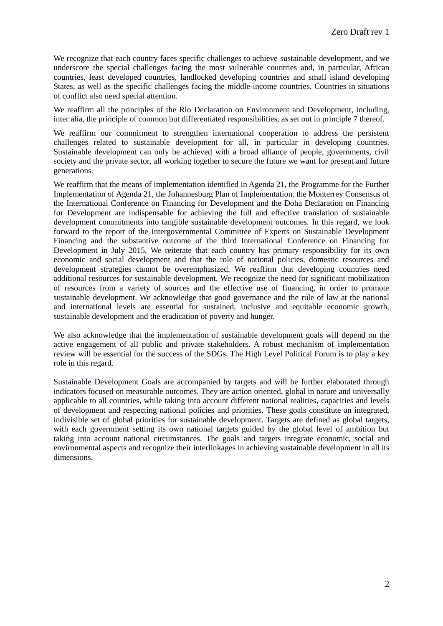We recognize that each country faces specific challenges to achieve sustainable development, and we underscore the special challenges facing the most vulnerable countries and, in particular, African countries, least developed countries, landlocked developing countries and small island developing States, as well as the specific challenges facing the middle-income countries. Countries in situations of conflict also need special attention.

We reaffirm all the principles of the Rio Declaration on Environment and Development, including, inter alia, the principle of common but differentiated responsibilities, as set out in principle 7 thereof.

We reaffirm our commitment to strengthen international cooperation to address the persistent challenges related to sustainable development for all, in particular in developing countries. Sustainable development can only be achieved with a broad alliance of people, governments, civil society and the private sector, all working together to secure the future we want for present and future generations.

We reaffirm that the means of implementation identified in Agenda 21, the Programme for the Further Implementation of Agenda 21, the Johannesburg Plan of Implementation, the Monterrey Consensus of the International Conference on Financing for Development and the Doha Declaration on Financing for Development are indispensable for achieving the full and effective translation of sustainable development commitments into tangible sustainable development outcomes. In this regard, we look forward to the report of the Intergovernmental Committee of Experts on Sustainable Development Financing and the substantive outcome of the third International Conference on Financing for Development in July 2015. We reiterate that each country has primary responsibility for its own economic and social development and that the role of national policies, domestic resources and development strategies cannot be overemphasized. We reaffirm that developing countries need additional resources for sustainable development. We recognize the need for significant mobilization of resources from a variety of sources and the effective use of financing, in order to promote sustainable development. We acknowledge that good governance and the rule of law at the national and international levels are essential for sustained, inclusive and equitable economic growth, sustainable development and the eradication of poverty and hunger.

We also acknowledge that the implementation of sustainable development goals will depend on the active engagement of all public and private stakeholders. A robust mechanism of implementation review will be essential for the success of the SDGs. The High Level Political Forum is to play a key role in this regard.

Sustainable Development Goals are accompanied by targets and will be further elaborated through indicators focused on measurable outcomes. They are action oriented, global in nature and universally applicable to all countries, while taking into account different national realities, capacities and levels of development and respecting national policies and priorities. These goals constitute an integrated, indivisible set of global priorities for sustainable development. Targets are defined as global targets, with each government setting its own national targets guided by the global level of ambition but taking into account national circumstances. The goals and targets integrate economic, social and environmental aspects and recognize their interlinkages in achieving sustainable development in all its dimensions.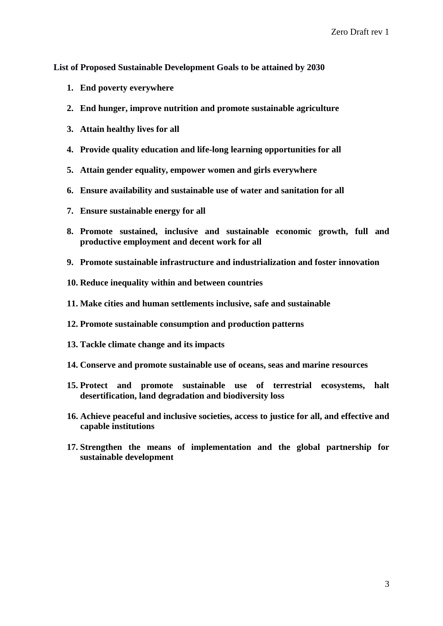**List of Proposed Sustainable Development Goals to be attained by 2030**

- **1. End poverty everywhere**
- **2. End hunger, improve nutrition and promote sustainable agriculture**
- **3. Attain healthy lives for all**
- **4. Provide quality education and life-long learning opportunities for all**
- **5. Attain gender equality, empower women and girls everywhere**
- **6. Ensure availability and sustainable use of water and sanitation for all**
- **7. Ensure sustainable energy for all**
- **8. Promote sustained, inclusive and sustainable economic growth, full and productive employment and decent work for all**
- **9. Promote sustainable infrastructure and industrialization and foster innovation**
- **10. Reduce inequality within and between countries**
- **11. Make cities and human settlements inclusive, safe and sustainable**
- **12. Promote sustainable consumption and production patterns**
- **13. Tackle climate change and its impacts**
- **14. Conserve and promote sustainable use of oceans, seas and marine resources**
- **15. Protect and promote sustainable use of terrestrial ecosystems, halt desertification, land degradation and biodiversity loss**
- **16. Achieve peaceful and inclusive societies, access to justice for all, and effective and capable institutions**
- **17. Strengthen the means of implementation and the global partnership for sustainable development**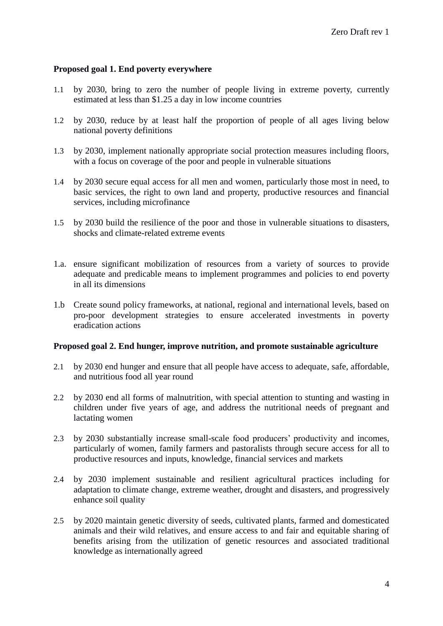### **Proposed goal 1. End poverty everywhere**

- 1.1 by 2030, bring to zero the number of people living in extreme poverty, currently estimated at less than \$1.25 a day in low income countries
- 1.2 by 2030, reduce by at least half the proportion of people of all ages living below national poverty definitions
- 1.3 by 2030, implement nationally appropriate social protection measures including floors, with a focus on coverage of the poor and people in vulnerable situations
- 1.4 by 2030 secure equal access for all men and women, particularly those most in need, to basic services, the right to own land and property, productive resources and financial services, including microfinance
- 1.5 by 2030 build the resilience of the poor and those in vulnerable situations to disasters, shocks and climate-related extreme events
- 1.a. ensure significant mobilization of resources from a variety of sources to provide adequate and predicable means to implement programmes and policies to end poverty in all its dimensions
- 1.b Create sound policy frameworks, at national, regional and international levels, based on pro-poor development strategies to ensure accelerated investments in poverty eradication actions

#### **Proposed goal 2. End hunger, improve nutrition, and promote sustainable agriculture**

- 2.1 by 2030 end hunger and ensure that all people have access to adequate, safe, affordable, and nutritious food all year round
- 2.2 by 2030 end all forms of malnutrition, with special attention to stunting and wasting in children under five years of age, and address the nutritional needs of pregnant and lactating women
- 2.3 by 2030 substantially increase small-scale food producers' productivity and incomes, particularly of women, family farmers and pastoralists through secure access for all to productive resources and inputs, knowledge, financial services and markets
- 2.4 by 2030 implement sustainable and resilient agricultural practices including for adaptation to climate change, extreme weather, drought and disasters, and progressively enhance soil quality
- 2.5 by 2020 maintain genetic diversity of seeds, cultivated plants, farmed and domesticated animals and their wild relatives, and ensure access to and fair and equitable sharing of benefits arising from the utilization of genetic resources and associated traditional knowledge as internationally agreed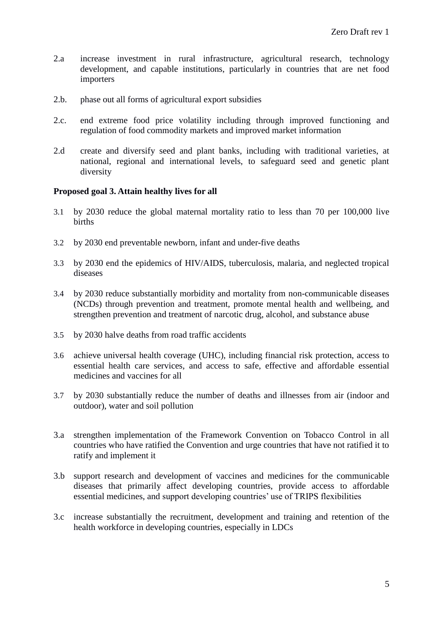- 2.a increase investment in rural infrastructure, agricultural research, technology development, and capable institutions, particularly in countries that are net food importers
- 2.b. phase out all forms of agricultural export subsidies
- 2.c. end extreme food price volatility including through improved functioning and regulation of food commodity markets and improved market information
- 2.d create and diversify seed and plant banks, including with traditional varieties, at national, regional and international levels, to safeguard seed and genetic plant diversity

## **Proposed goal 3. Attain healthy lives for all**

- 3.1 by 2030 reduce the global maternal mortality ratio to less than 70 per 100,000 live births
- 3.2 by 2030 end preventable newborn, infant and under-five deaths
- 3.3 by 2030 end the epidemics of HIV/AIDS, tuberculosis, malaria, and neglected tropical diseases
- 3.4 by 2030 reduce substantially morbidity and mortality from non-communicable diseases (NCDs) through prevention and treatment, promote mental health and wellbeing, and strengthen prevention and treatment of narcotic drug, alcohol, and substance abuse
- 3.5 by 2030 halve deaths from road traffic accidents
- 3.6 achieve universal health coverage (UHC), including financial risk protection, access to essential health care services, and access to safe, effective and affordable essential medicines and vaccines for all
- 3.7 by 2030 substantially reduce the number of deaths and illnesses from air (indoor and outdoor), water and soil pollution
- 3.a strengthen implementation of the Framework Convention on Tobacco Control in all countries who have ratified the Convention and urge countries that have not ratified it to ratify and implement it
- 3.b support research and development of vaccines and medicines for the communicable diseases that primarily affect developing countries, provide access to affordable essential medicines, and support developing countries' use of TRIPS flexibilities
- 3.c increase substantially the recruitment, development and training and retention of the health workforce in developing countries, especially in LDCs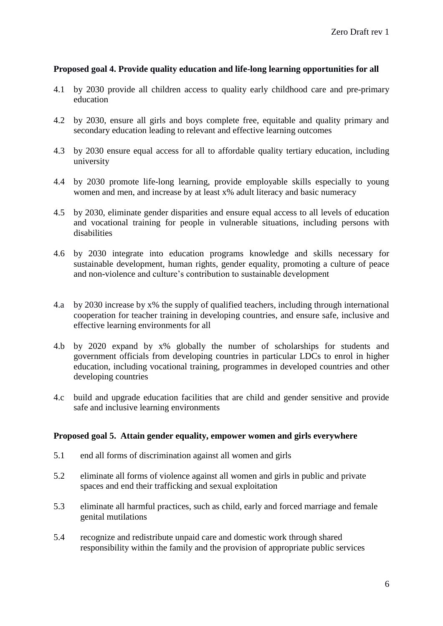## **Proposed goal 4. Provide quality education and life-long learning opportunities for all**

- 4.1 by 2030 provide all children access to quality early childhood care and pre-primary education
- 4.2 by 2030, ensure all girls and boys complete free, equitable and quality primary and secondary education leading to relevant and effective learning outcomes
- 4.3 by 2030 ensure equal access for all to affordable quality tertiary education, including university
- 4.4 by 2030 promote life-long learning, provide employable skills especially to young women and men, and increase by at least x% adult literacy and basic numeracy
- 4.5 by 2030, eliminate gender disparities and ensure equal access to all levels of education and vocational training for people in vulnerable situations, including persons with disabilities
- 4.6 by 2030 integrate into education programs knowledge and skills necessary for sustainable development, human rights, gender equality, promoting a culture of peace and non-violence and culture's contribution to sustainable development
- 4.a by 2030 increase by x% the supply of qualified teachers, including through international cooperation for teacher training in developing countries, and ensure safe, inclusive and effective learning environments for all
- 4.b by 2020 expand by x% globally the number of scholarships for students and government officials from developing countries in particular LDCs to enrol in higher education, including vocational training, programmes in developed countries and other developing countries
- 4.c build and upgrade education facilities that are child and gender sensitive and provide safe and inclusive learning environments

## **Proposed goal 5. Attain gender equality, empower women and girls everywhere**

- 5.1 end all forms of discrimination against all women and girls
- 5.2 eliminate all forms of violence against all women and girls in public and private spaces and end their trafficking and sexual exploitation
- 5.3 eliminate all harmful practices, such as child, early and forced marriage and female genital mutilations
- 5.4 recognize and redistribute unpaid care and domestic work through shared responsibility within the family and the provision of appropriate public services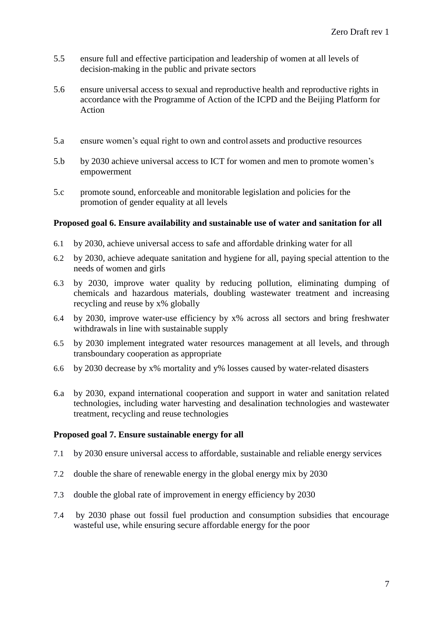- 5.5 ensure full and effective participation and leadership of women at all levels of decision-making in the public and private sectors
- 5.6 ensure universal access to sexual and reproductive health and reproductive rights in accordance with the Programme of Action of the ICPD and the Beijing Platform for Action
- 5.a ensure women's equal right to own and control assets and productive resources
- 5.b by 2030 achieve universal access to ICT for women and men to promote women's empowerment
- 5.c promote sound, enforceable and monitorable legislation and policies for the promotion of gender equality at all levels

## **Proposed goal 6. Ensure availability and sustainable use of water and sanitation for all**

- 6.1 by 2030, achieve universal access to safe and affordable drinking water for all
- 6.2 by 2030, achieve adequate sanitation and hygiene for all, paying special attention to the needs of women and girls
- 6.3 by 2030, improve water quality by reducing pollution, eliminating dumping of chemicals and hazardous materials, doubling wastewater treatment and increasing recycling and reuse by x% globally
- 6.4 by 2030, improve water-use efficiency by x% across all sectors and bring freshwater withdrawals in line with sustainable supply
- 6.5 by 2030 implement integrated water resources management at all levels, and through transboundary cooperation as appropriate
- 6.6 by 2030 decrease by x% mortality and y% losses caused by water-related disasters
- 6.a by 2030, expand international cooperation and support in water and sanitation related technologies, including water harvesting and desalination technologies and wastewater treatment, recycling and reuse technologies

# **Proposed goal 7. Ensure sustainable energy for all**

- 7.1 by 2030 ensure universal access to affordable, sustainable and reliable energy services
- 7.2 double the share of renewable energy in the global energy mix by 2030
- 7.3 double the global rate of improvement in energy efficiency by 2030
- 7.4 by 2030 phase out fossil fuel production and consumption subsidies that encourage wasteful use, while ensuring secure affordable energy for the poor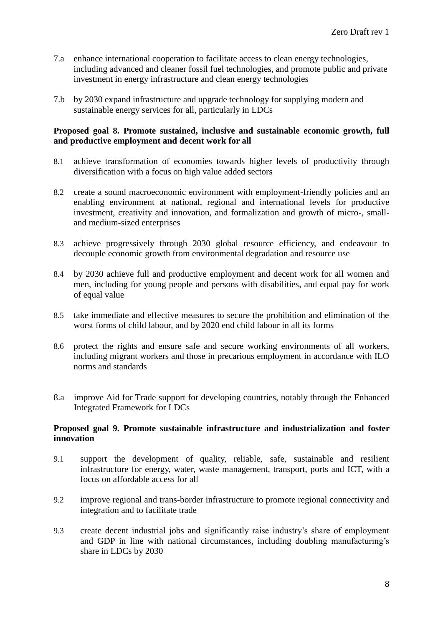- 7.a enhance international cooperation to facilitate access to clean energy technologies, including advanced and cleaner fossil fuel technologies, and promote public and private investment in energy infrastructure and clean energy technologies
- 7.b by 2030 expand infrastructure and upgrade technology for supplying modern and sustainable energy services for all, particularly in LDCs

## **Proposed goal 8. Promote sustained, inclusive and sustainable economic growth, full and productive employment and decent work for all**

- 8.1 achieve transformation of economies towards higher levels of productivity through diversification with a focus on high value added sectors
- 8.2 create a sound macroeconomic environment with employment-friendly policies and an enabling environment at national, regional and international levels for productive investment, creativity and innovation, and formalization and growth of micro-, smalland medium-sized enterprises
- 8.3 achieve progressively through 2030 global resource efficiency, and endeavour to decouple economic growth from environmental degradation and resource use
- 8.4 by 2030 achieve full and productive employment and decent work for all women and men, including for young people and persons with disabilities, and equal pay for work of equal value
- 8.5 take immediate and effective measures to secure the prohibition and elimination of the worst forms of child labour, and by 2020 end child labour in all its forms
- 8.6 protect the rights and ensure safe and secure working environments of all workers, including migrant workers and those in precarious employment in accordance with ILO norms and standards
- 8.a improve Aid for Trade support for developing countries, notably through the Enhanced Integrated Framework for LDCs

## **Proposed goal 9. Promote sustainable infrastructure and industrialization and foster innovation**

- 9.1 support the development of quality, reliable, safe, sustainable and resilient infrastructure for energy, water, waste management, transport, ports and ICT, with a focus on affordable access for all
- 9.2 improve regional and trans-border infrastructure to promote regional connectivity and integration and to facilitate trade
- 9.3 create decent industrial jobs and significantly raise industry's share of employment and GDP in line with national circumstances, including doubling manufacturing's share in LDCs by 2030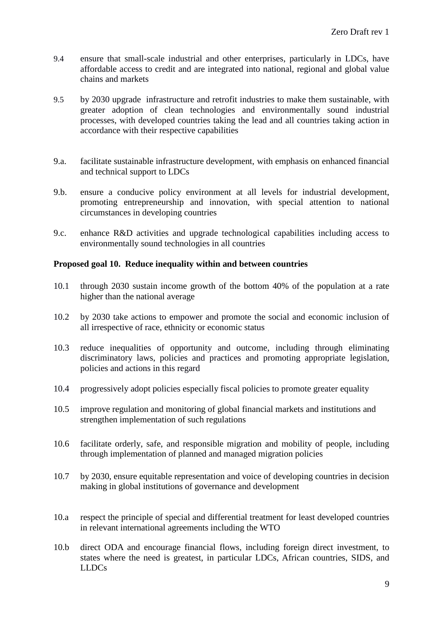- 9.4 ensure that small-scale industrial and other enterprises, particularly in LDCs, have affordable access to credit and are integrated into national, regional and global value chains and markets
- 9.5 by 2030 upgrade infrastructure and retrofit industries to make them sustainable, with greater adoption of clean technologies and environmentally sound industrial processes, with developed countries taking the lead and all countries taking action in accordance with their respective capabilities
- 9.a. facilitate sustainable infrastructure development, with emphasis on enhanced financial and technical support to LDCs
- 9.b. ensure a conducive policy environment at all levels for industrial development, promoting entrepreneurship and innovation, with special attention to national circumstances in developing countries
- 9.c. enhance R&D activities and upgrade technological capabilities including access to environmentally sound technologies in all countries

## **Proposed goal 10. Reduce inequality within and between countries**

- 10.1 through 2030 sustain income growth of the bottom 40% of the population at a rate higher than the national average
- 10.2 by 2030 take actions to empower and promote the social and economic inclusion of all irrespective of race, ethnicity or economic status
- 10.3 reduce inequalities of opportunity and outcome, including through eliminating discriminatory laws, policies and practices and promoting appropriate legislation, policies and actions in this regard
- 10.4 progressively adopt policies especially fiscal policies to promote greater equality
- 10.5 improve regulation and monitoring of global financial markets and institutions and strengthen implementation of such regulations
- 10.6 facilitate orderly, safe, and responsible migration and mobility of people, including through implementation of planned and managed migration policies
- 10.7 by 2030, ensure equitable representation and voice of developing countries in decision making in global institutions of governance and development
- 10.a respect the principle of special and differential treatment for least developed countries in relevant international agreements including the WTO
- 10.b direct ODA and encourage financial flows, including foreign direct investment, to states where the need is greatest, in particular LDCs, African countries, SIDS, and LLDCs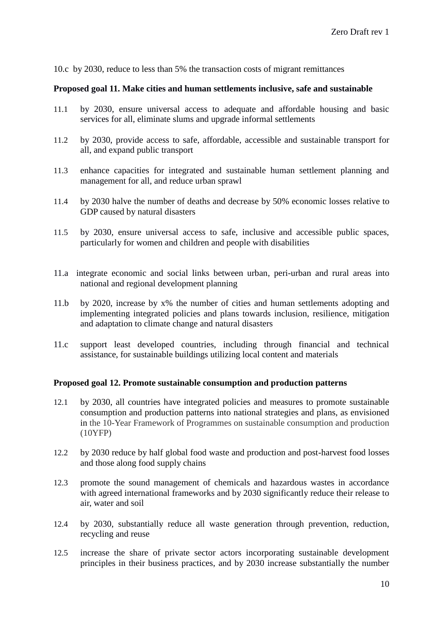10.c by 2030, reduce to less than 5% the transaction costs of migrant remittances

#### **Proposed goal 11. Make cities and human settlements inclusive, safe and sustainable**

- 11.1 by 2030, ensure universal access to adequate and affordable housing and basic services for all, eliminate slums and upgrade informal settlements
- 11.2 by 2030, provide access to safe, affordable, accessible and sustainable transport for all, and expand public transport
- 11.3 enhance capacities for integrated and sustainable human settlement planning and management for all, and reduce urban sprawl
- 11.4 by 2030 halve the number of deaths and decrease by 50% economic losses relative to GDP caused by natural disasters
- 11.5 by 2030, ensure universal access to safe, inclusive and accessible public spaces, particularly for women and children and people with disabilities
- 11.a integrate economic and social links between urban, peri-urban and rural areas into national and regional development planning
- 11.b by 2020, increase by x% the number of cities and human settlements adopting and implementing integrated policies and plans towards inclusion, resilience, mitigation and adaptation to climate change and natural disasters
- 11.c support least developed countries, including through financial and technical assistance, for sustainable buildings utilizing local content and materials

#### **Proposed goal 12. Promote sustainable consumption and production patterns**

- 12.1 by 2030, all countries have integrated policies and measures to promote sustainable consumption and production patterns into national strategies and plans, as envisioned in the 10-Year Framework of Programmes on sustainable consumption and production (10YFP)
- 12.2 by 2030 reduce by half global food waste and production and post-harvest food losses and those along food supply chains
- 12.3 promote the sound management of chemicals and hazardous wastes in accordance with agreed international frameworks and by 2030 significantly reduce their release to air, water and soil
- 12.4 by 2030, substantially reduce all waste generation through prevention, reduction, recycling and reuse
- 12.5 increase the share of private sector actors incorporating sustainable development principles in their business practices, and by 2030 increase substantially the number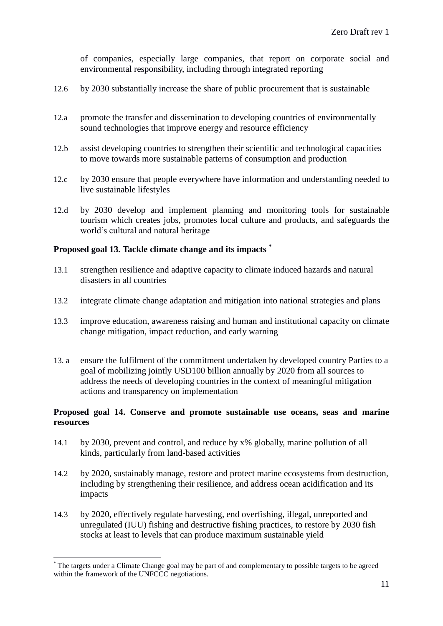of companies, especially large companies, that report on corporate social and environmental responsibility, including through integrated reporting

- 12.6 by 2030 substantially increase the share of public procurement that is sustainable
- 12.a promote the transfer and dissemination to developing countries of environmentally sound technologies that improve energy and resource efficiency
- 12.b assist developing countries to strengthen their scientific and technological capacities to move towards more sustainable patterns of consumption and production
- 12.c by 2030 ensure that people everywhere have information and understanding needed to live sustainable lifestyles
- 12.d by 2030 develop and implement planning and monitoring tools for sustainable tourism which creates jobs, promotes local culture and products, and safeguards the world's cultural and natural heritage

#### **Proposed goal 13. Tackle climate change and its impacts \***

- 13.1 strengthen resilience and adaptive capacity to climate induced hazards and natural disasters in all countries
- 13.2 integrate climate change adaptation and mitigation into national strategies and plans
- 13.3 improve education, awareness raising and human and institutional capacity on climate change mitigation, impact reduction, and early warning
- 13. a ensure the fulfilment of the commitment undertaken by developed country Parties to a goal of mobilizing jointly USD100 billion annually by 2020 from all sources to address the needs of developing countries in the context of meaningful mitigation actions and transparency on implementation

# **Proposed goal 14. Conserve and promote sustainable use oceans, seas and marine resources**

- 14.1 by 2030, prevent and control, and reduce by x% globally, marine pollution of all kinds, particularly from land-based activities
- 14.2 by 2020, sustainably manage, restore and protect marine ecosystems from destruction, including by strengthening their resilience, and address ocean acidification and its impacts
- 14.3 by 2020, effectively regulate harvesting, end overfishing, illegal, unreported and unregulated (IUU) fishing and destructive fishing practices, to restore by 2030 fish stocks at least to levels that can produce maximum sustainable yield

-

The targets under a Climate Change goal may be part of and complementary to possible targets to be agreed within the framework of the UNFCCC negotiations.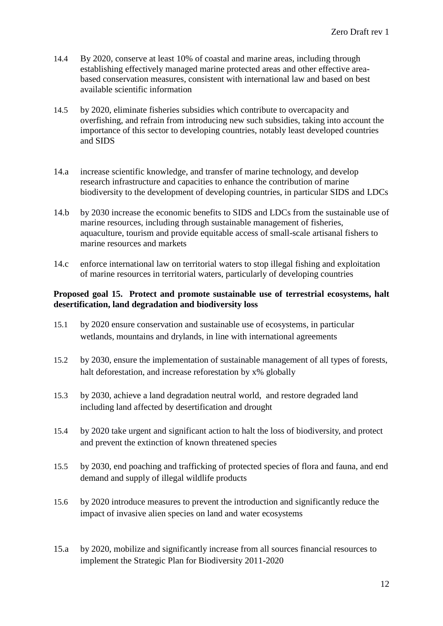- 14.4 By 2020, conserve at least 10% of coastal and marine areas, including through establishing effectively managed marine protected areas and other effective areabased conservation measures, consistent with international law and based on best available scientific information
- 14.5 by 2020, eliminate fisheries subsidies which contribute to overcapacity and overfishing, and refrain from introducing new such subsidies, taking into account the importance of this sector to developing countries, notably least developed countries and SIDS
- 14.a increase scientific knowledge, and transfer of marine technology, and develop research infrastructure and capacities to enhance the contribution of marine biodiversity to the development of developing countries, in particular SIDS and LDCs
- 14.b by 2030 increase the economic benefits to SIDS and LDCs from the sustainable use of marine resources, including through sustainable management of fisheries, aquaculture, tourism and provide equitable access of small-scale artisanal fishers to marine resources and markets
- 14.c enforce international law on territorial waters to stop illegal fishing and exploitation of marine resources in territorial waters, particularly of developing countries

## **Proposed goal 15. Protect and promote sustainable use of terrestrial ecosystems, halt desertification, land degradation and biodiversity loss**

- 15.1 by 2020 ensure conservation and sustainable use of ecosystems, in particular wetlands, mountains and drylands, in line with international agreements
- 15.2 by 2030, ensure the implementation of sustainable management of all types of forests, halt deforestation, and increase reforestation by  $x\%$  globally
- 15.3 by 2030, achieve a land degradation neutral world, and restore degraded land including land affected by desertification and drought
- 15.4 by 2020 take urgent and significant action to halt the loss of biodiversity, and protect and prevent the extinction of known threatened species
- 15.5 by 2030, end poaching and trafficking of protected species of flora and fauna, and end demand and supply of illegal wildlife products
- 15.6 by 2020 introduce measures to prevent the introduction and significantly reduce the impact of invasive alien species on land and water ecosystems
- 15.a by 2020, mobilize and significantly increase from all sources financial resources to implement the Strategic Plan for Biodiversity 2011-2020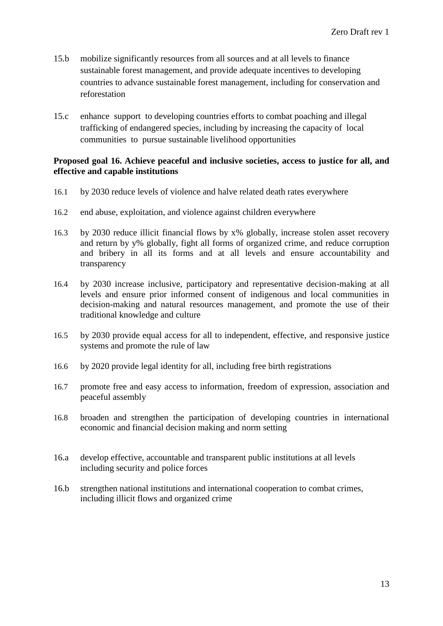- 15.b mobilize significantly resources from all sources and at all levels to finance sustainable forest management, and provide adequate incentives to developing countries to advance sustainable forest management, including for conservation and reforestation
- 15.c enhance support to developing countries efforts to combat poaching and illegal trafficking of endangered species, including by increasing the capacity of local communities to pursue sustainable livelihood opportunities

## **Proposed goal 16. Achieve peaceful and inclusive societies, access to justice for all, and effective and capable institutions**

- 16.1 by 2030 reduce levels of violence and halve related death rates everywhere
- 16.2 end abuse, exploitation, and violence against children everywhere
- 16.3 by 2030 reduce illicit financial flows by x% globally, increase stolen asset recovery and return by y% globally, fight all forms of organized crime, and reduce corruption and bribery in all its forms and at all levels and ensure accountability and transparency
- 16.4 by 2030 increase inclusive, participatory and representative decision-making at all levels and ensure prior informed consent of indigenous and local communities in decision-making and natural resources management, and promote the use of their traditional knowledge and culture
- 16.5 by 2030 provide equal access for all to independent, effective, and responsive justice systems and promote the rule of law
- 16.6 by 2020 provide legal identity for all, including free birth registrations
- 16.7 promote free and easy access to information, freedom of expression, association and peaceful assembly
- 16.8 broaden and strengthen the participation of developing countries in international economic and financial decision making and norm setting
- 16.a develop effective, accountable and transparent public institutions at all levels including security and police forces
- 16.b strengthen national institutions and international cooperation to combat crimes, including illicit flows and organized crime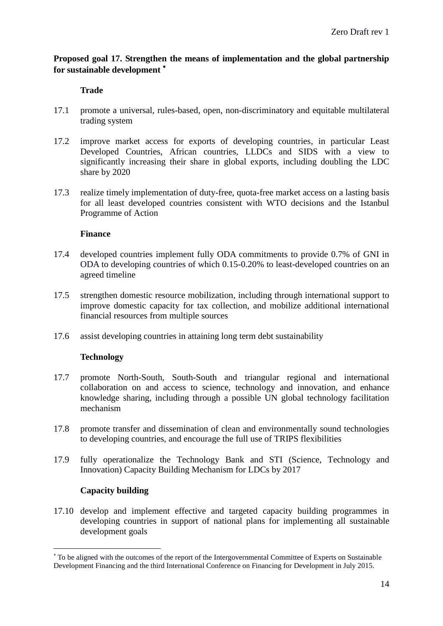# **Proposed goal 17. Strengthen the means of implementation and the global partnership for sustainable development**

# **Trade**

- 17.1 promote a universal, rules-based, open, non-discriminatory and equitable multilateral trading system
- 17.2 improve market access for exports of developing countries, in particular Least Developed Countries, African countries, LLDCs and SIDS with a view to significantly increasing their share in global exports, including doubling the LDC share by 2020
- 17.3 realize timely implementation of duty-free, quota-free market access on a lasting basis for all least developed countries consistent with WTO decisions and the Istanbul Programme of Action

## **Finance**

- 17.4 developed countries implement fully ODA commitments to provide 0.7% of GNI in ODA to developing countries of which 0.15-0.20% to least-developed countries on an agreed timeline
- 17.5 strengthen domestic resource mobilization, including through international support to improve domestic capacity for tax collection, and mobilize additional international financial resources from multiple sources
- 17.6 assist developing countries in attaining long term debt sustainability

# **Technology**

- 17.7 promote North-South, South-South and triangular regional and international collaboration on and access to science, technology and innovation, and enhance knowledge sharing, including through a possible UN global technology facilitation mechanism
- 17.8 promote transfer and dissemination of clean and environmentally sound technologies to developing countries, and encourage the full use of TRIPS flexibilities
- 17.9 fully operationalize the Technology Bank and STI (Science, Technology and Innovation) Capacity Building Mechanism for LDCs by 2017

### **Capacity building**

1

17.10 develop and implement effective and targeted capacity building programmes in developing countries in support of national plans for implementing all sustainable development goals

To be aligned with the outcomes of the report of the Intergovernmental Committee of Experts on Sustainable Development Financing and the third International Conference on Financing for Development in July 2015.